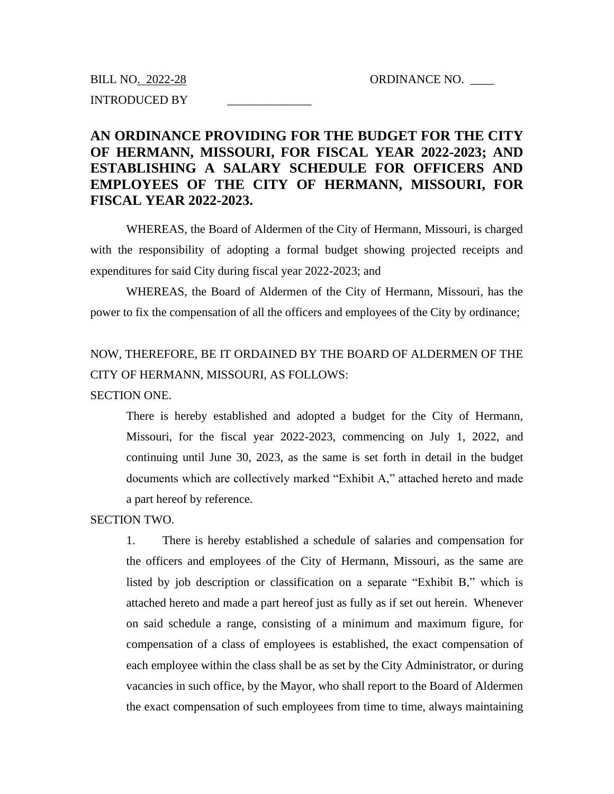BILL NO. 2022-28 ORDINANCE NO. INTRODUCED BY \_\_\_\_\_\_\_\_\_\_\_\_\_\_

## **AN ORDINANCE PROVIDING FOR THE BUDGET FOR THE CITY OF HERMANN, MISSOURI, FOR FISCAL YEAR 2022-2023; AND ESTABLISHING A SALARY SCHEDULE FOR OFFICERS AND EMPLOYEES OF THE CITY OF HERMANN, MISSOURI, FOR FISCAL YEAR 2022-2023.**

WHEREAS, the Board of Aldermen of the City of Hermann, Missouri, is charged with the responsibility of adopting a formal budget showing projected receipts and expenditures for said City during fiscal year 2022-2023; and

WHEREAS, the Board of Aldermen of the City of Hermann, Missouri, has the power to fix the compensation of all the officers and employees of the City by ordinance;

# NOW, THEREFORE, BE IT ORDAINED BY THE BOARD OF ALDERMEN OF THE CITY OF HERMANN, MISSOURI, AS FOLLOWS:

#### SECTION ONE.

There is hereby established and adopted a budget for the City of Hermann, Missouri, for the fiscal year 2022-2023, commencing on July 1, 2022, and continuing until June 30, 2023, as the same is set forth in detail in the budget documents which are collectively marked "Exhibit A," attached hereto and made a part hereof by reference.

#### SECTION TWO.

1. There is hereby established a schedule of salaries and compensation for the officers and employees of the City of Hermann, Missouri, as the same are listed by job description or classification on a separate "Exhibit B," which is attached hereto and made a part hereof just as fully as if set out herein. Whenever on said schedule a range, consisting of a minimum and maximum figure, for compensation of a class of employees is established, the exact compensation of each employee within the class shall be as set by the City Administrator, or during vacancies in such office, by the Mayor, who shall report to the Board of Aldermen the exact compensation of such employees from time to time, always maintaining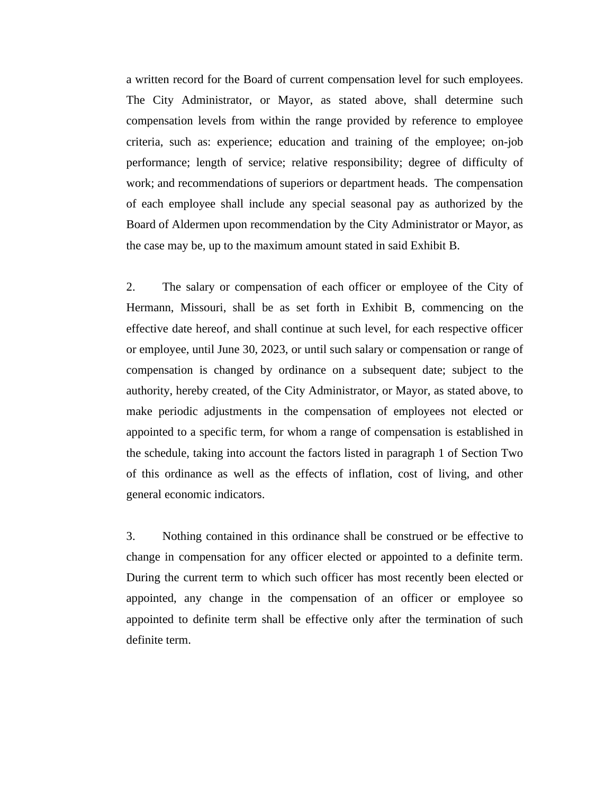a written record for the Board of current compensation level for such employees. The City Administrator, or Mayor, as stated above, shall determine such compensation levels from within the range provided by reference to employee criteria, such as: experience; education and training of the employee; on-job performance; length of service; relative responsibility; degree of difficulty of work; and recommendations of superiors or department heads. The compensation of each employee shall include any special seasonal pay as authorized by the Board of Aldermen upon recommendation by the City Administrator or Mayor, as the case may be, up to the maximum amount stated in said Exhibit B.

2. The salary or compensation of each officer or employee of the City of Hermann, Missouri, shall be as set forth in Exhibit B, commencing on the effective date hereof, and shall continue at such level, for each respective officer or employee, until June 30, 2023, or until such salary or compensation or range of compensation is changed by ordinance on a subsequent date; subject to the authority, hereby created, of the City Administrator, or Mayor, as stated above, to make periodic adjustments in the compensation of employees not elected or appointed to a specific term, for whom a range of compensation is established in the schedule, taking into account the factors listed in paragraph 1 of Section Two of this ordinance as well as the effects of inflation, cost of living, and other general economic indicators.

3. Nothing contained in this ordinance shall be construed or be effective to change in compensation for any officer elected or appointed to a definite term. During the current term to which such officer has most recently been elected or appointed, any change in the compensation of an officer or employee so appointed to definite term shall be effective only after the termination of such definite term.